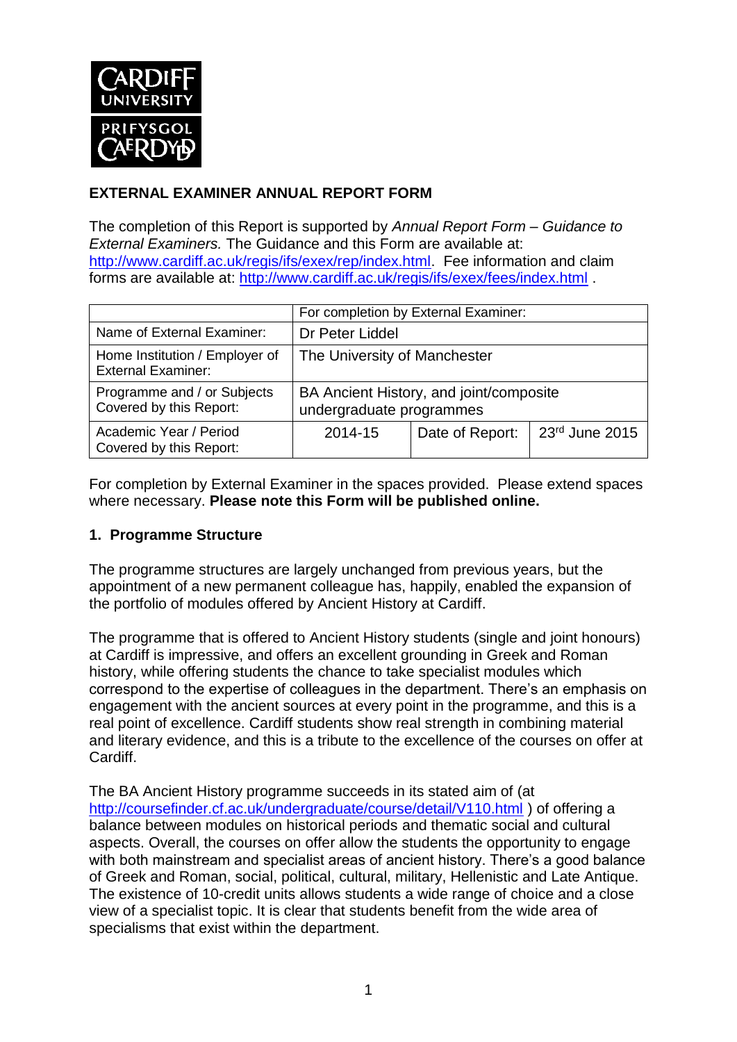

# **EXTERNAL EXAMINER ANNUAL REPORT FORM**

The completion of this Report is supported by *Annual Report Form – Guidance to External Examiners.* The Guidance and this Form are available at: [http://www.cardiff.ac.uk/regis/ifs/exex/rep/index.html.](http://www.cardiff.ac.uk/regis/ifs/exex/rep/index.html) Fee information and claim forms are available at:<http://www.cardiff.ac.uk/regis/ifs/exex/fees/index.html> .

|                                                             | For completion by External Examiner:                                |                 |                |  |  |
|-------------------------------------------------------------|---------------------------------------------------------------------|-----------------|----------------|--|--|
| Name of External Examiner:                                  | Dr Peter Liddel                                                     |                 |                |  |  |
| Home Institution / Employer of<br><b>External Examiner:</b> | The University of Manchester                                        |                 |                |  |  |
| Programme and / or Subjects<br>Covered by this Report:      | BA Ancient History, and joint/composite<br>undergraduate programmes |                 |                |  |  |
| Academic Year / Period<br>Covered by this Report:           | 2014-15                                                             | Date of Report: | 23rd June 2015 |  |  |

For completion by External Examiner in the spaces provided. Please extend spaces where necessary. **Please note this Form will be published online.**

#### **1. Programme Structure**

The programme structures are largely unchanged from previous years, but the appointment of a new permanent colleague has, happily, enabled the expansion of the portfolio of modules offered by Ancient History at Cardiff.

The programme that is offered to Ancient History students (single and joint honours) at Cardiff is impressive, and offers an excellent grounding in Greek and Roman history, while offering students the chance to take specialist modules which correspond to the expertise of colleagues in the department. There's an emphasis on engagement with the ancient sources at every point in the programme, and this is a real point of excellence. Cardiff students show real strength in combining material and literary evidence, and this is a tribute to the excellence of the courses on offer at Cardiff.

The BA Ancient History programme succeeds in its stated aim of (at <http://coursefinder.cf.ac.uk/undergraduate/course/detail/V110.html> ) of offering a balance between modules on historical periods and thematic social and cultural aspects. Overall, the courses on offer allow the students the opportunity to engage with both mainstream and specialist areas of ancient history. There's a good balance of Greek and Roman, social, political, cultural, military, Hellenistic and Late Antique. The existence of 10-credit units allows students a wide range of choice and a close view of a specialist topic. It is clear that students benefit from the wide area of specialisms that exist within the department.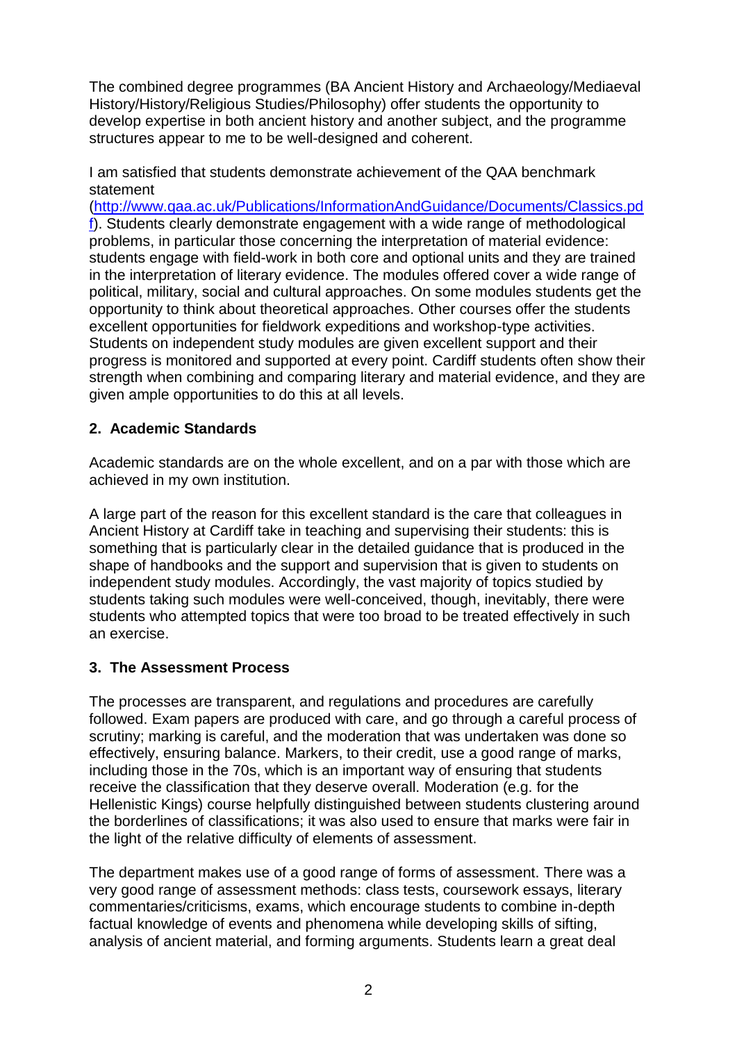The combined degree programmes (BA Ancient History and Archaeology/Mediaeval History/History/Religious Studies/Philosophy) offer students the opportunity to develop expertise in both ancient history and another subject, and the programme structures appear to me to be well-designed and coherent.

I am satisfied that students demonstrate achievement of the QAA benchmark statement

[\(http://www.qaa.ac.uk/Publications/InformationAndGuidance/Documents/Classics.pd](http://www.qaa.ac.uk/Publications/InformationAndGuidance/Documents/Classics.pdf) [f\)](http://www.qaa.ac.uk/Publications/InformationAndGuidance/Documents/Classics.pdf). Students clearly demonstrate engagement with a wide range of methodological problems, in particular those concerning the interpretation of material evidence: students engage with field-work in both core and optional units and they are trained in the interpretation of literary evidence. The modules offered cover a wide range of political, military, social and cultural approaches. On some modules students get the opportunity to think about theoretical approaches. Other courses offer the students excellent opportunities for fieldwork expeditions and workshop-type activities. Students on independent study modules are given excellent support and their progress is monitored and supported at every point. Cardiff students often show their strength when combining and comparing literary and material evidence, and they are given ample opportunities to do this at all levels.

### **2. Academic Standards**

Academic standards are on the whole excellent, and on a par with those which are achieved in my own institution.

A large part of the reason for this excellent standard is the care that colleagues in Ancient History at Cardiff take in teaching and supervising their students: this is something that is particularly clear in the detailed guidance that is produced in the shape of handbooks and the support and supervision that is given to students on independent study modules. Accordingly, the vast majority of topics studied by students taking such modules were well-conceived, though, inevitably, there were students who attempted topics that were too broad to be treated effectively in such an exercise.

# **3. The Assessment Process**

The processes are transparent, and regulations and procedures are carefully followed. Exam papers are produced with care, and go through a careful process of scrutiny; marking is careful, and the moderation that was undertaken was done so effectively, ensuring balance. Markers, to their credit, use a good range of marks, including those in the 70s, which is an important way of ensuring that students receive the classification that they deserve overall. Moderation (e.g. for the Hellenistic Kings) course helpfully distinguished between students clustering around the borderlines of classifications; it was also used to ensure that marks were fair in the light of the relative difficulty of elements of assessment.

The department makes use of a good range of forms of assessment. There was a very good range of assessment methods: class tests, coursework essays, literary commentaries/criticisms, exams, which encourage students to combine in-depth factual knowledge of events and phenomena while developing skills of sifting, analysis of ancient material, and forming arguments. Students learn a great deal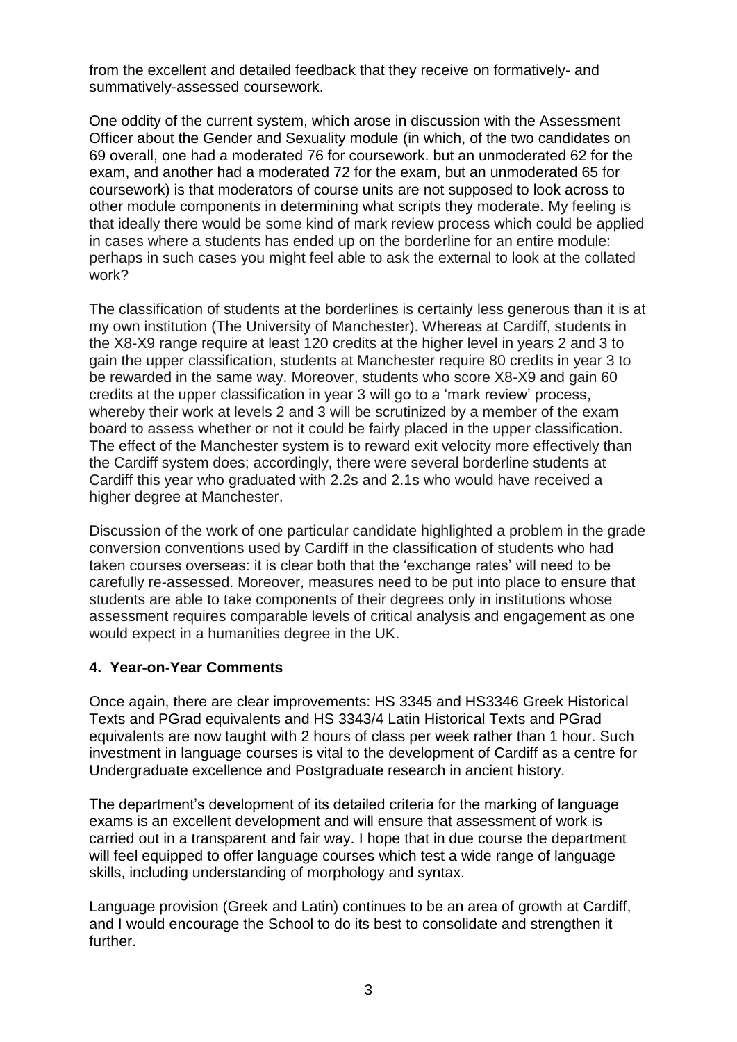from the excellent and detailed feedback that they receive on formatively- and summatively-assessed coursework.

One oddity of the current system, which arose in discussion with the Assessment Officer about the Gender and Sexuality module (in which, of the two candidates on 69 overall, one had a moderated 76 for coursework. but an unmoderated 62 for the exam, and another had a moderated 72 for the exam, but an unmoderated 65 for coursework) is that moderators of course units are not supposed to look across to other module components in determining what scripts they moderate. My feeling is that ideally there would be some kind of mark review process which could be applied in cases where a students has ended up on the borderline for an entire module: perhaps in such cases you might feel able to ask the external to look at the collated work?

The classification of students at the borderlines is certainly less generous than it is at my own institution (The University of Manchester). Whereas at Cardiff, students in the X8-X9 range require at least 120 credits at the higher level in years 2 and 3 to gain the upper classification, students at Manchester require 80 credits in year 3 to be rewarded in the same way. Moreover, students who score X8-X9 and gain 60 credits at the upper classification in year 3 will go to a 'mark review' process, whereby their work at levels 2 and 3 will be scrutinized by a member of the exam board to assess whether or not it could be fairly placed in the upper classification. The effect of the Manchester system is to reward exit velocity more effectively than the Cardiff system does; accordingly, there were several borderline students at Cardiff this year who graduated with 2.2s and 2.1s who would have received a higher degree at Manchester.

Discussion of the work of one particular candidate highlighted a problem in the grade conversion conventions used by Cardiff in the classification of students who had taken courses overseas: it is clear both that the 'exchange rates' will need to be carefully re-assessed. Moreover, measures need to be put into place to ensure that students are able to take components of their degrees only in institutions whose assessment requires comparable levels of critical analysis and engagement as one would expect in a humanities degree in the UK.

#### **4. Year-on-Year Comments**

Once again, there are clear improvements: HS 3345 and HS3346 Greek Historical Texts and PGrad equivalents and HS 3343/4 Latin Historical Texts and PGrad equivalents are now taught with 2 hours of class per week rather than 1 hour. Such investment in language courses is vital to the development of Cardiff as a centre for Undergraduate excellence and Postgraduate research in ancient history.

The department's development of its detailed criteria for the marking of language exams is an excellent development and will ensure that assessment of work is carried out in a transparent and fair way. I hope that in due course the department will feel equipped to offer language courses which test a wide range of language skills, including understanding of morphology and syntax.

Language provision (Greek and Latin) continues to be an area of growth at Cardiff, and I would encourage the School to do its best to consolidate and strengthen it further.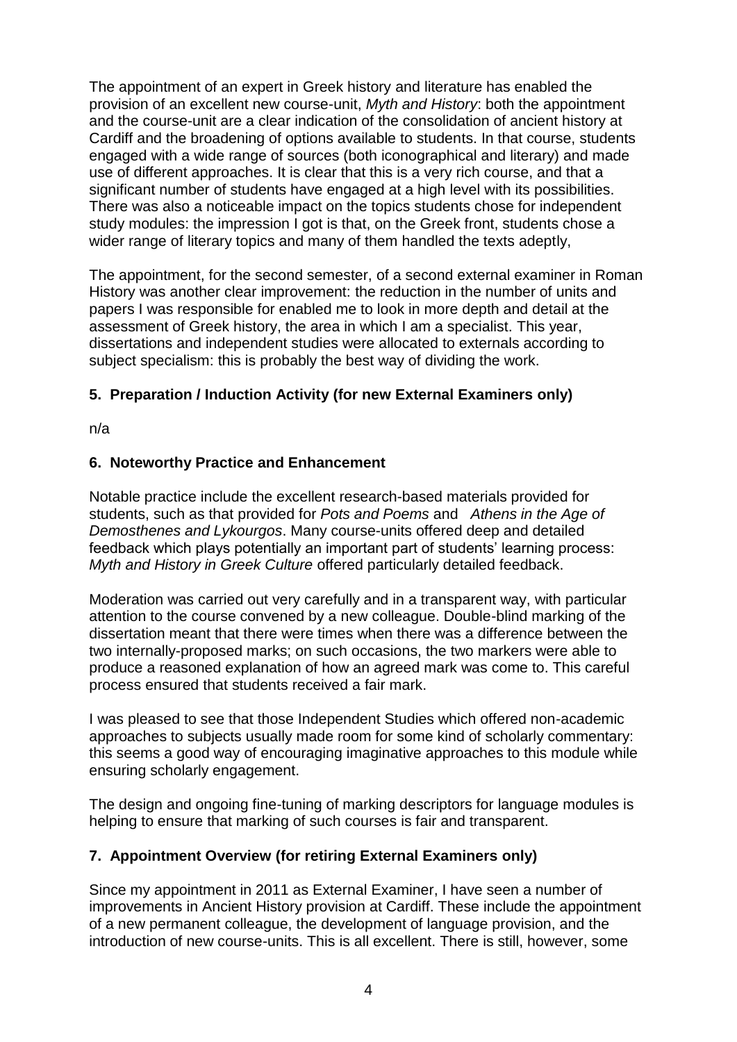The appointment of an expert in Greek history and literature has enabled the provision of an excellent new course-unit, *Myth and History*: both the appointment and the course-unit are a clear indication of the consolidation of ancient history at Cardiff and the broadening of options available to students. In that course, students engaged with a wide range of sources (both iconographical and literary) and made use of different approaches. It is clear that this is a very rich course, and that a significant number of students have engaged at a high level with its possibilities. There was also a noticeable impact on the topics students chose for independent study modules: the impression I got is that, on the Greek front, students chose a wider range of literary topics and many of them handled the texts adeptly,

The appointment, for the second semester, of a second external examiner in Roman History was another clear improvement: the reduction in the number of units and papers I was responsible for enabled me to look in more depth and detail at the assessment of Greek history, the area in which I am a specialist. This year, dissertations and independent studies were allocated to externals according to subject specialism: this is probably the best way of dividing the work.

# **5. Preparation / Induction Activity (for new External Examiners only)**

n/a

### **6. Noteworthy Practice and Enhancement**

Notable practice include the excellent research-based materials provided for students, such as that provided for *Pots and Poems* and *Athens in the Age of Demosthenes and Lykourgos*. Many course-units offered deep and detailed feedback which plays potentially an important part of students' learning process: *Myth and History in Greek Culture* offered particularly detailed feedback.

Moderation was carried out very carefully and in a transparent way, with particular attention to the course convened by a new colleague. Double-blind marking of the dissertation meant that there were times when there was a difference between the two internally-proposed marks; on such occasions, the two markers were able to produce a reasoned explanation of how an agreed mark was come to. This careful process ensured that students received a fair mark.

I was pleased to see that those Independent Studies which offered non-academic approaches to subjects usually made room for some kind of scholarly commentary: this seems a good way of encouraging imaginative approaches to this module while ensuring scholarly engagement.

The design and ongoing fine-tuning of marking descriptors for language modules is helping to ensure that marking of such courses is fair and transparent.

# **7. Appointment Overview (for retiring External Examiners only)**

Since my appointment in 2011 as External Examiner, I have seen a number of improvements in Ancient History provision at Cardiff. These include the appointment of a new permanent colleague, the development of language provision, and the introduction of new course-units. This is all excellent. There is still, however, some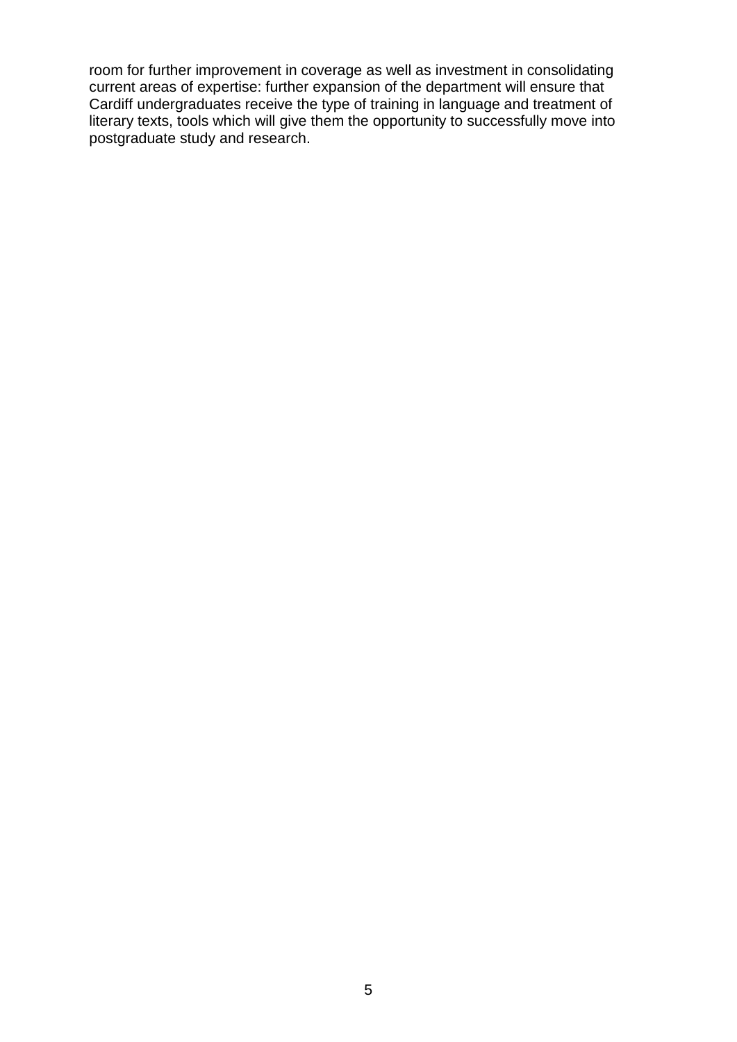room for further improvement in coverage as well as investment in consolidating current areas of expertise: further expansion of the department will ensure that Cardiff undergraduates receive the type of training in language and treatment of literary texts, tools which will give them the opportunity to successfully move into postgraduate study and research.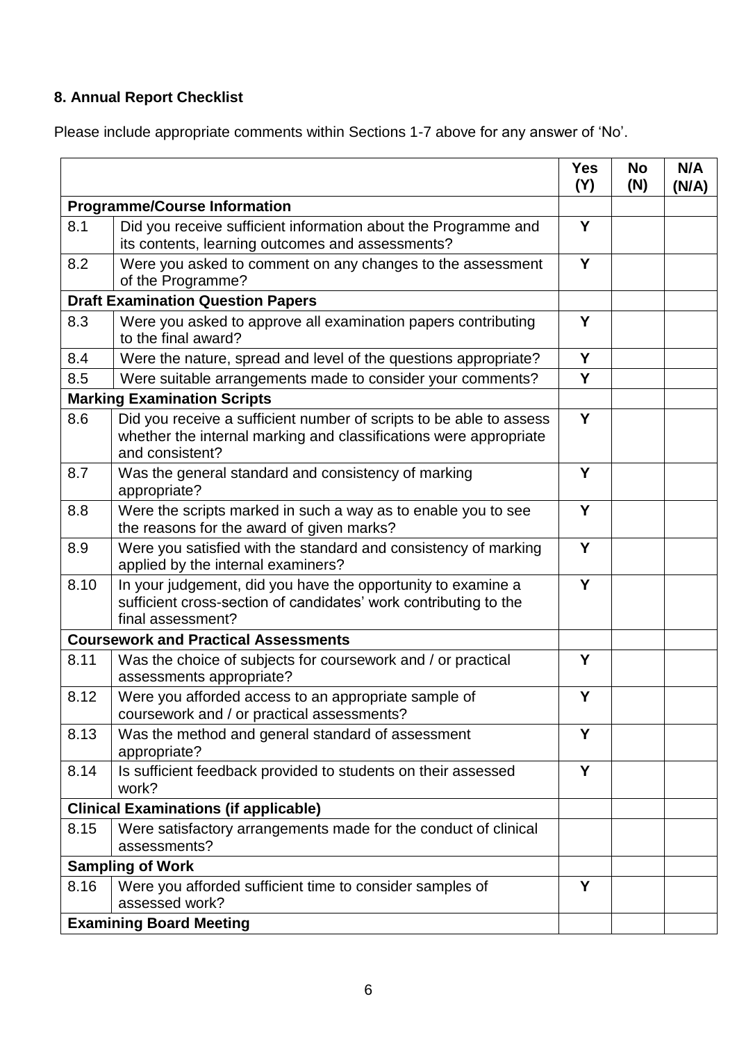# **8. Annual Report Checklist**

Please include appropriate comments within Sections 1-7 above for any answer of 'No'.

|                                             |                                                                                                                                                             | <b>Yes</b><br>(Y) | <b>No</b><br>(N) | N/A<br>(N/A) |
|---------------------------------------------|-------------------------------------------------------------------------------------------------------------------------------------------------------------|-------------------|------------------|--------------|
| <b>Programme/Course Information</b>         |                                                                                                                                                             |                   |                  |              |
| 8.1                                         | Did you receive sufficient information about the Programme and<br>its contents, learning outcomes and assessments?                                          |                   |                  |              |
| 8.2                                         | Were you asked to comment on any changes to the assessment<br>of the Programme?                                                                             | Y                 |                  |              |
| <b>Draft Examination Question Papers</b>    |                                                                                                                                                             |                   |                  |              |
| 8.3                                         | Were you asked to approve all examination papers contributing<br>to the final award?                                                                        | Y                 |                  |              |
| 8.4                                         | Were the nature, spread and level of the questions appropriate?                                                                                             | Y                 |                  |              |
| 8.5                                         | Were suitable arrangements made to consider your comments?                                                                                                  | Y                 |                  |              |
| <b>Marking Examination Scripts</b>          |                                                                                                                                                             |                   |                  |              |
| 8.6                                         | Did you receive a sufficient number of scripts to be able to assess<br>whether the internal marking and classifications were appropriate<br>and consistent? | Y                 |                  |              |
| 8.7                                         | Was the general standard and consistency of marking<br>appropriate?                                                                                         | Y                 |                  |              |
| 8.8                                         | Were the scripts marked in such a way as to enable you to see<br>the reasons for the award of given marks?                                                  | Y                 |                  |              |
| 8.9                                         | Were you satisfied with the standard and consistency of marking<br>applied by the internal examiners?                                                       | Y                 |                  |              |
| 8.10                                        | In your judgement, did you have the opportunity to examine a<br>sufficient cross-section of candidates' work contributing to the<br>final assessment?       | Y                 |                  |              |
| <b>Coursework and Practical Assessments</b> |                                                                                                                                                             |                   |                  |              |
| 8.11                                        | Was the choice of subjects for coursework and / or practical<br>assessments appropriate?                                                                    | Y                 |                  |              |
| 8.12                                        | Were you afforded access to an appropriate sample of<br>coursework and / or practical assessments?                                                          | Y                 |                  |              |
| 8.13                                        | Was the method and general standard of assessment<br>appropriate?                                                                                           | Y                 |                  |              |
| 8.14                                        | Is sufficient feedback provided to students on their assessed<br>work?                                                                                      | Y                 |                  |              |
|                                             | <b>Clinical Examinations (if applicable)</b>                                                                                                                |                   |                  |              |
| 8.15                                        | Were satisfactory arrangements made for the conduct of clinical<br>assessments?                                                                             |                   |                  |              |
|                                             | <b>Sampling of Work</b>                                                                                                                                     |                   |                  |              |
| 8.16                                        | Were you afforded sufficient time to consider samples of<br>assessed work?                                                                                  | Y                 |                  |              |
|                                             | <b>Examining Board Meeting</b>                                                                                                                              |                   |                  |              |